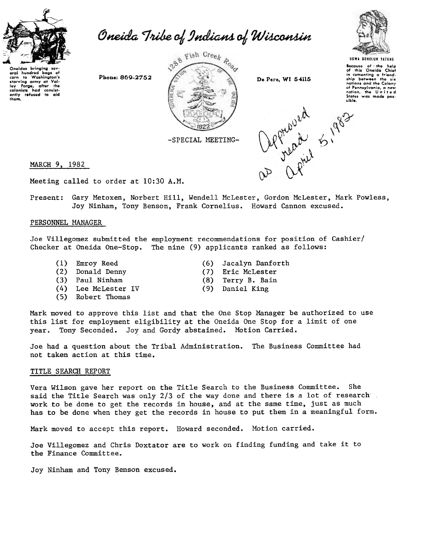

baas to Washington's starving army at ley Forge, after the after

eral hundred

Oneida Tribe of Indians of Wisconsin





Because ot—the help<br>of this Oneida Chie in comonting a friend<br>ship botween the six<br>nations and the Colony of Pennsylvania, a new<br>nation, the United<br>States was made poslib/e.

 $, \lambda$ 

MARCH 9, 1982

Meeting called to order at 10:30 A.M.

Gary Metoxen, Norbert Hill, Wendell McLester, Gordon McLester, Mark Powless, Present: Joy Ninham, Tony Benson, Frank Cornelius. Howard Cannon excused.

## PERSONNEL MANAGER

Joe Villegomez submitted the employment recommendations for position of Cashier/ Checker at Oneida One-Stop. The nine (9) applicants ranked as follows:

- (1) Emroy Reed
- (2) Donald Denny
- (3) Paul Ninham
- (4) Lee McLester IV
- (5) Robert Thomas
- (6) Jacalyn Danfor
- (7) Eric McLeste
- (8) Terry B. Bai
- (9) Daniel Kin

Mark moved to approve this list and that the One Stop Manager be authorized to use this list for employment eligibility at the Oneida One Stop for a limit of one Tony Seconded. Joy and Gordy abstained. Motion Carried. year.

Joe had a question about the Tribal Administration. The Business Committee had not taken action at this time.

## TITLE SEARCH REPORT

Vera Wilson gave her report on the Title Search to the Business Committee. She said the Title Search was only 2/3 of the way done and there is a lot of research. work to be done to get the records in house, and at the same time, just as much has to be done when they get the records in house to put them in a meaningful form.

Mark moved to accept this report. Howard seconded. Motion carried.

Joe Villegomez and Chris Doxtator are to work on finding funding and take it to the Finance Committee.

Joy Ninham and Tony Benson excused.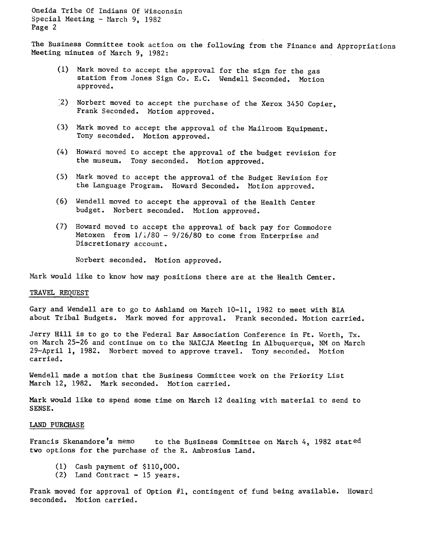The Business Committee took action on the following from the Finance and Appropriations Meeting minutes of March 9, 1982:

- (1) Mark moved to accept the approval for the sign for the gas station from Jones Sign Co. E.C. Wendell Seconded. Motion approved.
- Norbert moved to accept the purchase of the Xerox 3450 Copier, Frank Seconded. Motion approved.
- (3) Mark moved to accept the approval of the Mailroom Equipment. Tony seconded. Motion approved.
- (4) Howard moved to accept the approval of the budget revision for the museum. Tony seconded. Motion approved.
- (5) Mark moved to accept the approval of the Budget Revision for the Language Program. Howard Seconded. Motion approved.
- (6) Wendell moved to accept the approval of the Health Center budget. Norbert seconded. Motion approved.
- (7) Howard moved to accept the approval of back pay for Commodore Metoxen from  $1/1/80 - 9/26/80$  to come from Enterprise and Discretionary account.

Norbert seconded. Motion approved.

Mark would like to know how may positions there are at the Health Center.

## TRAVEL REQUEST

Gary and Wendell are to go to Ashland on March 10-11, 1982 to meet with BrA about Tribal Budgets. Mark moved for approval. Frank seconded. Motion carried.

Jerry Hill is to go to the Federal Bar Association Conference in Ft. Worth, Tx. on March 25-26 and continue on to the NAICJA Meeting in Albuquerque, NM on March 29-April 1, 1982. Norbert moved to approve travel. Tony seconded. Motion carried.

Wendell made a motion that the Business Committee work on the Priority List March 12, 1982. Mark seconded. Motion carried.

Mark would like to spend some time on March 12 dealing with material to send to SENSE.

## LAND PURCHASE

Francis Skenandore's memo to the Business Committee on March 4, 1982 stated two options for the purchase of the R. Ambrosius Land.

- (1) Cash payment of \$110,00
- (2) Land Contract 15 year

Frank moved for approval of Option  $#1$ , contingent of fund being available. Howard seconded. Motion carried.